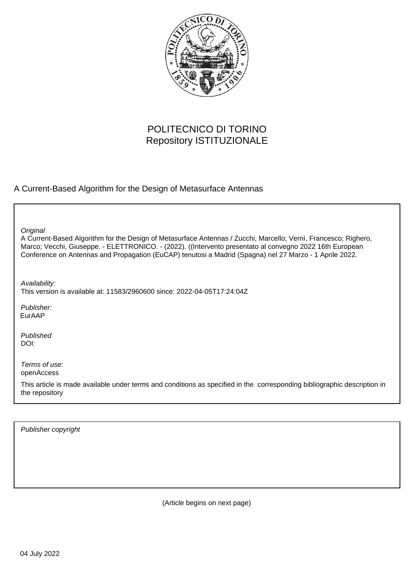

## POLITECNICO DI TORINO Repository ISTITUZIONALE

### A Current-Based Algorithm for the Design of Metasurface Antennas

**Original** 

A Current-Based Algorithm for the Design of Metasurface Antennas / Zucchi, Marcello; Vernì, Francesco; Righero, Marco; Vecchi, Giuseppe. - ELETTRONICO. - (2022). ((Intervento presentato al convegno 2022 16th European Conference on Antennas and Propagation (EuCAP) tenutosi a Madrid (Spagna) nel 27 Marzo - 1 Aprile 2022.

Availability:

This version is available at: 11583/2960600 since: 2022-04-05T17:24:04Z

Publisher: EurAAP

Published DOI:

Terms of use: openAccess

This article is made available under terms and conditions as specified in the corresponding bibliographic description in the repository

Publisher copyright

(Article begins on next page)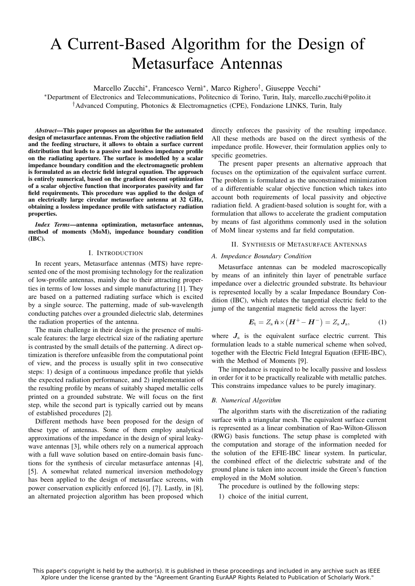# A Current-Based Algorithm for the Design of Metasurface Antennas

Marcello Zucchi<sup>\*</sup>, Francesco Vernì<sup>\*</sup>, Marco Righero<sup>†</sup>, Giuseppe Vecchi<sup>\*</sup>

<sup>∗</sup>Department of Electronics and Telecommunications, Politecnico di Torino, Turin, Italy, marcello.zucchi@polito.it †Advanced Computing, Photonics & Electromagnetics (CPE), Fondazione LINKS, Turin, Italy

*Abstract*—This paper proposes an algorithm for the automated design of metasurface antennas. From the objective radiation field and the feeding structure, it allows to obtain a surface current distribution that leads to a passive and lossless impedance profile on the radiating aperture. The surface is modelled by a scalar impedance boundary condition and the electromagnetic problem is formulated as an electric field integral equation. The approach is entirely numerical, based on the gradient descent optimization of a scalar objective function that incorporates passivity and far field requirements. This procedure was applied to the design of an electrically large circular metasurface antenna at 32 GHz, obtaining a lossless impedance profile with satisfactory radiation properties.

*Index Terms*—antenna optimization, metasurface antennas, method of moments (MoM), impedance boundary condition (IBC).

#### I. INTRODUCTION

In recent years, Metasurface antennas (MTS) have represented one of the most promising technology for the realization of low-profile antennas, mainly due to their attracting properties in terms of low losses and simple manufacturing [1]. They are based on a patterned radiating surface which is excited by a single source. The patterning, made of sub-wavelength conducting patches over a grounded dielectric slab, determines the radiation properties of the antenna.

The main challenge in their design is the presence of multiscale features: the large electrical size of the radiating aperture is contrasted by the small details of the patterning. A direct optimization is therefore unfeasible from the computational point of view, and the process is usually split in two consecutive steps: 1) design of a continuous impedance profile that yields the expected radiation performance, and 2) implementation of the resulting profile by means of suitably shaped metallic cells printed on a grounded substrate. We will focus on the first step, while the second part is typically carried out by means of established procedures [2].

Different methods have been proposed for the design of these type of antennas. Some of them employ analytical approximations of the impedance in the design of spiral leakywave antennas [3], while others rely on a numerical approach with a full wave solution based on entire-domain basis functions for the synthesis of circular metasurface antennas [4], [5]. A somewhat related numerical inversion methodology has been applied to the design of metasurface screens, with power conservation explicitly enforced [6], [7]. Lastly, in [8], an alternated projection algorithm has been proposed which

directly enforces the passivity of the resulting impedance. All these methods are based on the direct synthesis of the impedance profile. However, their formulation applies only to specific geometries.

The present paper presents an alternative approach that focuses on the optimization of the equivalent surface current. The problem is formulated as the unconstrained minimization of a differentiable scalar objective function which takes into account both requirements of local passivity and objective radiation field. A gradient-based solution is sought for, with a formulation that allows to accelerate the gradient computation by means of fast algorithms commonly used in the solution of MoM linear systems and far field computation.

#### II. SYNTHESIS OF METASURFACE ANTENNAS

#### *A. Impedance Boundary Condition*

Metasurface antennas can be modeled macroscopically by means of an infinitely thin layer of penetrable surface impedance over a dielectric grounded substrate. Its behaviour is represented locally by a scalar Impedance Boundary Condition (IBC), which relates the tangential electric field to the jump of the tangential magnetic field across the layer:

$$
\boldsymbol{E}_{\rm t} = Z_{\rm s} \hat{\boldsymbol{n}} \times (\boldsymbol{H}^+ - \boldsymbol{H}^-) = Z_{\rm s} \, \boldsymbol{J}_{\rm s},\tag{1}
$$

where  $J<sub>s</sub>$  is the equivalent surface electric current. This formulation leads to a stable numerical scheme when solved, together with the Electric Field Integral Equation (EFIE-IBC), with the Method of Moments [9].

The impedance is required to be locally passive and lossless in order for it to be practically realizable with metallic patches. This constrains impedance values to be purely imaginary.

#### *B. Numerical Algorithm*

The algorithm starts with the discretization of the radiating surface with a triangular mesh. The equivalent surface current is represented as a linear combination of Rao-Wilton-Glisson (RWG) basis functions. The setup phase is completed with the computation and storage of the information needed for the solution of the EFIE-IBC linear system. In particular, the combined effect of the dielectric substrate and of the ground plane is taken into account inside the Green's function employed in the MoM solution.

The procedure is outlined by the following steps:

1) choice of the initial current,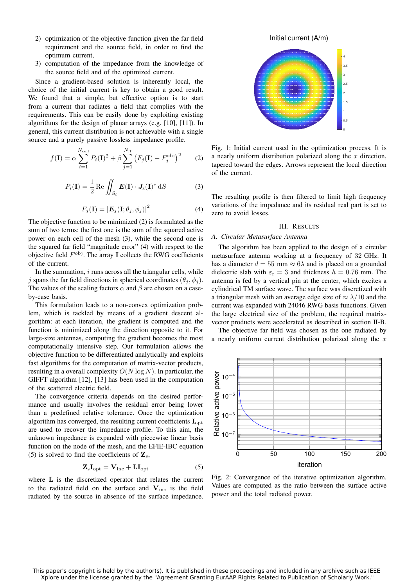- 2) optimization of the objective function given the far field requirement and the source field, in order to find the optimum current,
- 3) computation of the impedance from the knowledge of the source field and of the optimized current.

Since a gradient-based solution is inherently local, the choice of the initial current is key to obtain a good result. We found that a simple, but effective option is to start from a current that radiates a field that complies with the requirements. This can be easily done by exploiting existing algorithms for the design of planar arrays (e.g. [10], [11]). In general, this current distribution is not achievable with a single source and a purely passive lossless impedance profile.

$$
f(\mathbf{I}) = \alpha \sum_{i=1}^{N_{\text{cell}}} P_i(\mathbf{I})^2 + \beta \sum_{j=1}^{N_{\text{ff}}} (F_j(\mathbf{I}) - F_j^{\text{obj}})^2 \tag{2}
$$

$$
P_i(\mathbf{I}) = \frac{1}{2} \operatorname{Re} \iint_{\mathcal{S}_i} \boldsymbol{E}(\mathbf{I}) \cdot \boldsymbol{J}_s(\mathbf{I})^* \, \mathrm{d}S \tag{3}
$$

$$
F_j(\mathbf{I}) = \left| \mathbf{E}_j(\mathbf{I}; \theta_j, \phi_j) \right|^2 \tag{4}
$$

The objective function to be minimized (2) is formulated as the sum of two terms: the first one is the sum of the squared active power on each cell of the mesh (3), while the second one is the squared far field "magnitude error" (4) with respect to the objective field  $F^{\text{obj}}$ . The array I collects the RWG coefficients of the current.

In the summation,  $i$  runs across all the triangular cells, while j spans the far field directions in spherical coordinates  $(\theta_i, \phi_i)$ . The values of the scaling factors  $\alpha$  and  $\beta$  are chosen on a caseby-case basis.

This formulation leads to a non-convex optimization problem, which is tackled by means of a gradient descent algorithm: at each iteration, the gradient is computed and the function is minimized along the direction opposite to it. For large-size antennas, computing the gradient becomes the most computationally intensive step. Our formulation allows the objective function to be differentiated analytically and exploits fast algorithms for the computation of matrix-vector products, resulting in a overall complexity  $O(N \log N)$ . In particular, the GIFFT algorithm [12], [13] has been used in the computation of the scattered electric field.

The convergence criteria depends on the desired performance and usually involves the residual error being lower than a predefined relative tolerance. Once the optimization algorithm has converged, the resulting current coefficients  $I_{\text{opt}}$ are used to recover the impedance profile. To this aim, the unknown impedance is expanded with piecewise linear basis function on the node of the mesh, and the EFIE-IBC equation (5) is solved to find the coefficients of  $\mathbf{Z}_s$ ,

$$
\mathbf{Z}_{\mathrm{s}}\mathbf{I}_{\mathrm{opt}} = \mathbf{V}_{\mathrm{inc}} + \mathbf{L}\mathbf{I}_{\mathrm{opt}} \tag{5}
$$

where L is the discretized operator that relates the current to the radiated field on the surface and  $V_{inc}$  is the field radiated by the source in absence of the surface impedance.



Fig. 1: Initial current used in the optimization process. It is a nearly uniform distribution polarized along the  $x$  direction, tapered toward the edges. Arrows represent the local direction of the current.

The resulting profile is then filtered to limit high frequency variations of the impedance and its residual real part is set to zero to avoid losses.

#### III. RESULTS

#### *A. Circular Metasurface Antenna*

The algorithm has been applied to the design of a circular metasurface antenna working at a frequency of 32 GHz. It has a diameter  $d = 55$  mm  $\approx 6\lambda$  and is placed on a grounded dielectric slab with  $\varepsilon_r = 3$  and thickness  $h = 0.76$  mm. The antenna is fed by a vertical pin at the center, which excites a cylindrical TM surface wave. The surface was discretized with a triangular mesh with an average edge size of  $\approx \lambda/10$  and the current was expanded with 24046 RWG basis functions. Given the large electrical size of the problem, the required matrixvector products were accelerated as described in section II-B.

The objective far field was chosen as the one radiated by a nearly uniform current distribution polarized along the  $x$ 



Fig. 2: Convergence of the iterative optimization algorithm. Values are computed as the ratio between the surface active power and the total radiated power.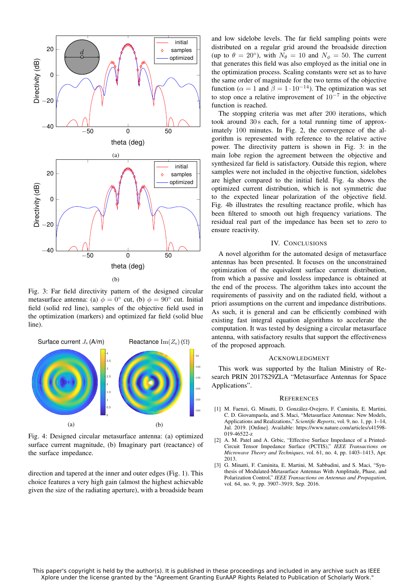

Fig. 3: Far field directivity pattern of the designed circular metasurface antenna: (a)  $\phi = 0^{\circ}$  cut, (b)  $\phi = 90^{\circ}$  cut. Initial field (solid red line), samples of the objective field used in the optimization (markers) and optimized far field (solid blue line).



Fig. 4: Designed circular metasurface antenna: (a) optimized surface current magnitude, (b) Imaginary part (reactance) of the surface impedance.

direction and tapered at the inner and outer edges (Fig. 1). This choice features a very high gain (almost the highest achievable given the size of the radiating aperture), with a broadside beam and low sidelobe levels. The far field sampling points were distributed on a regular grid around the broadside direction (up to  $\theta = 20^{\circ}$ ), with  $N_{\theta} = 10$  and  $N_{\phi} = 50$ . The current that generates this field was also employed as the initial one in the optimization process. Scaling constants were set as to have the same order of magnitude for the two terms of the objective function ( $\alpha = 1$  and  $\beta = 1 \cdot 10^{-14}$ ). The optimization was set to stop once a relative improvement of  $10^{-7}$  in the objective function is reached.

The stopping criteria was met after 200 iterations, which took around 30 s each, for a total running time of approximately 100 minutes. In Fig. 2, the convergence of the algorithm is represented with reference to the relative active power. The directivity pattern is shown in Fig. 3: in the main lobe region the agreement between the objective and synthesized far field is satisfactory. Outside this region, where samples were not included in the objective function, sidelobes are higher compared to the initial field. Fig. 4a shows the optimized current distribution, which is not symmetric due to the expected linear polarization of the objective field. Fig. 4b illustrates the resulting reactance profile, which has been filtered to smooth out high frequency variations. The residual real part of the impedance has been set to zero to ensure reactivity.

#### IV. CONCLUSIONS

A novel algorithm for the automated design of metasurface antennas has been presented. It focuses on the unconstrained optimization of the equivalent surface current distribution, from which a passive and lossless impedance is obtained at the end of the process. The algorithm takes into account the requirements of passivity and on the radiated field, without a priori assumptions on the current and impedance distributions. As such, it is general and can be efficiently combined with existing fast integral equation algorithms to accelerate the computation. It was tested by designing a circular metasurface antenna, with satisfactory results that support the effectiveness of the proposed approach.

#### ACKNOWLEDGMENT

This work was supported by the Italian Ministry of Research PRIN 2017S29ZLA "Metasurface Antennas for Space Applications".

#### **REFERENCES**

- [1] M. Faenzi, G. Minatti, D. González-Ovejero, F. Caminita, E. Martini, C. D. Giovampaola, and S. Maci, "Metasurface Antennas: New Models, Applications and Realizations," *Scientific Reports*, vol. 9, no. 1, pp. 1–14, Jul. 2019. [Online]. Available: https://www.nature.com/articles/s41598- 019-46522-z
- [2] A. M. Patel and A. Grbic, "Effective Surface Impedance of a Printed-Circuit Tensor Impedance Surface (PCTIS)," *IEEE Transactions on Microwave Theory and Techniques*, vol. 61, no. 4, pp. 1403–1413, Apr. 2013.
- [3] G. Minatti, F. Caminita, E. Martini, M. Sabbadini, and S. Maci, "Synthesis of Modulated-Metasurface Antennas With Amplitude, Phase, and Polarization Control," *IEEE Transactions on Antennas and Propagation*, vol. 64, no. 9, pp. 3907–3919, Sep. 2016.